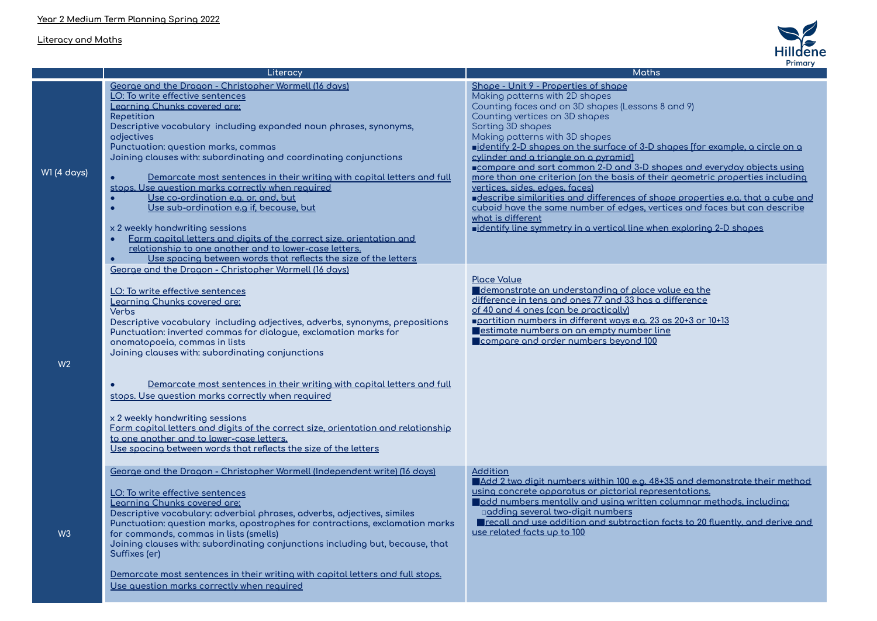## **Literacy and Maths**



|                    | Literacy                                                                                                                       | r muu y<br><b>Moths</b>                                                        |
|--------------------|--------------------------------------------------------------------------------------------------------------------------------|--------------------------------------------------------------------------------|
|                    | George and the Dragon - Christopher Wormell (16 days)                                                                          | Shape - Unit 9 - Properties of shape                                           |
|                    | LO: To write effective sentences                                                                                               | Making patterns with 2D shapes                                                 |
|                    | Learning Chunks covered are:                                                                                                   | Counting faces and on 3D shapes (Lessons 8 and 9)                              |
|                    | Repetition                                                                                                                     | Counting vertices on 3D shapes                                                 |
|                    | Descriptive vocabulary including expanded noun phrases, synonyms,                                                              | Sorting 3D shapes                                                              |
|                    | adjectives                                                                                                                     | Making patterns with 3D shapes                                                 |
|                    | Punctuation: question marks, commas                                                                                            | identify 2-D shapes on the surface of 3-D shapes ffor example, a circle on a   |
|                    | Joining clauses with: subordinating and coordinating conjunctions                                                              | cylinder and a triangle on a pyramid]                                          |
| <b>W1 (4 days)</b> |                                                                                                                                | compare and sort common 2-D and 3-D shapes and everyday objects using          |
|                    | Demarcate most sentences in their writing with capital letters and full                                                        | more than one criterion (on the basis of their geometric properties including  |
|                    | stops. Use question marks correctly when required                                                                              | vertices, sides, edges, faces)                                                 |
|                    | Use co-ordination e.g. or, and, but                                                                                            | describe similarities and differences of shape properties e.g. that a cube and |
|                    | Use sub-ordination e.g if, because, but                                                                                        | cuboid have the same number of edges, vertices and faces but can describe      |
|                    |                                                                                                                                | what is different                                                              |
|                    | x 2 weekly handwriting sessions                                                                                                | identify line symmetry in a vertical line when exploring 2-D shapes            |
|                    | Form copital letters and digits of the correct size, orientation and<br>relationship to one another and to lower-case letters. |                                                                                |
|                    | Use spacing between words that reflects the size of the letters                                                                |                                                                                |
|                    |                                                                                                                                |                                                                                |
|                    | George and the Dragon - Christopher Wormell (16 days)                                                                          |                                                                                |
|                    |                                                                                                                                | <b>Place Value</b><br>demonstrate an understanding of place value eq the       |
|                    | LO: To write effective sentences                                                                                               | difference in tens and ones 77 and 33 has a difference                         |
|                    | Learning Chunks covered are:                                                                                                   | of 40 and 4 ones (can be practically)                                          |
|                    | Verbs                                                                                                                          | partition numbers in different ways e.g. 23 as 20+3 or 10+13                   |
|                    | Descriptive vocabulary including adjectives, adverbs, synonyms, prepositions                                                   | estimate numbers on an empty number line                                       |
|                    | Punctuation: inverted commas for dialogue, exclamation marks for                                                               | compare and order numbers beyond 100                                           |
|                    | onomatopoeia, commas in lists<br>Joining clauses with: subordinating conjunctions                                              |                                                                                |
|                    |                                                                                                                                |                                                                                |
| W <sub>2</sub>     |                                                                                                                                |                                                                                |
|                    |                                                                                                                                |                                                                                |
|                    | <u>Demarcate most sentences in their writina with capital letters and full</u>                                                 |                                                                                |
|                    | stops. Use question marks correctly when required                                                                              |                                                                                |
|                    |                                                                                                                                |                                                                                |
|                    | x 2 weekly handwriting sessions                                                                                                |                                                                                |
|                    | Form copital letters and digits of the correct size, orientation and relationship<br>to one another and to lower-case letters. |                                                                                |
|                    | Use spacing between words that reflects the size of the letters                                                                |                                                                                |
|                    |                                                                                                                                |                                                                                |
|                    |                                                                                                                                | <b>Addition</b>                                                                |
|                    | George and the Dragon - Christopher Wormell (Independent write) (16 days)                                                      | Add 2 two digit numbers within 100 e.g. 48+35 and demonstrate their method     |
|                    |                                                                                                                                | using concrete apparatus or pictorial representations.                         |
|                    | LO: To write effective sentences                                                                                               | add numbers mentally and using written columnar methods, including:            |
|                    | Learning Chunks covered are:                                                                                                   | □adding several two-digit numbers                                              |
|                    | Descriptive vocabulary: adverbial phrases, adverbs, adjectives, similes                                                        | recall and use addition and subtraction facts to 20 fluently, and derive and   |
| W <sub>3</sub>     | Punctuation: question marks, apostrophes for contractions, exclamation marks<br>for commands, commas in lists (smells)         | use related facts up to 100                                                    |
|                    | Joining clauses with: subordinating conjunctions including but, because, that                                                  |                                                                                |
|                    | Suffixes (er)                                                                                                                  |                                                                                |
|                    |                                                                                                                                |                                                                                |
|                    | Demarcate most sentences in their writing with capital letters and full stops.                                                 |                                                                                |
|                    | Use question marks correctly when required                                                                                     |                                                                                |
|                    |                                                                                                                                |                                                                                |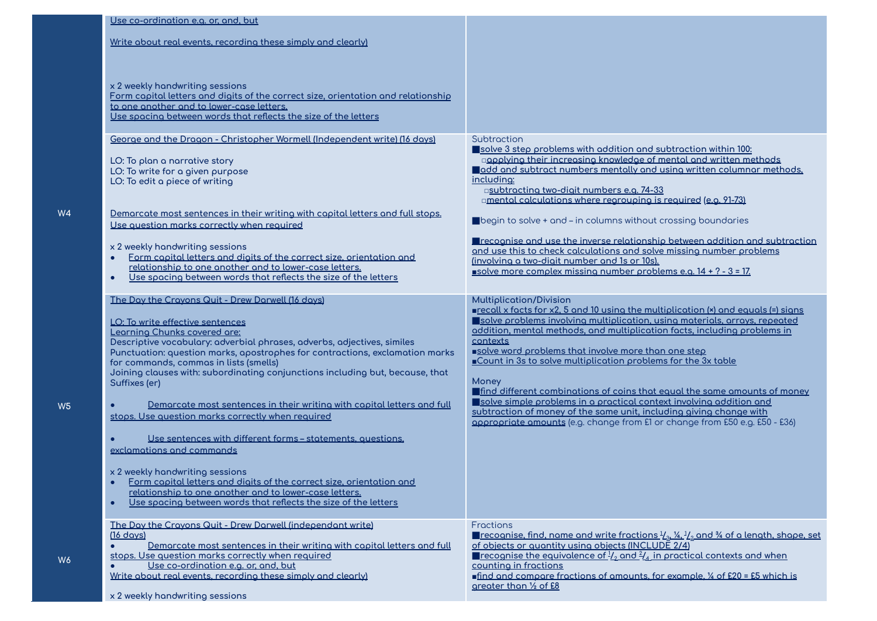| Use co-ordination e.g. or, and, but                                |                                                                                                                                                         |                                                                                                                                                                                                                                               |
|--------------------------------------------------------------------|---------------------------------------------------------------------------------------------------------------------------------------------------------|-----------------------------------------------------------------------------------------------------------------------------------------------------------------------------------------------------------------------------------------------|
|                                                                    | Write about real events, recording these simply and clearly)                                                                                            |                                                                                                                                                                                                                                               |
|                                                                    |                                                                                                                                                         |                                                                                                                                                                                                                                               |
| x 2 weekly handwriting sessions                                    |                                                                                                                                                         |                                                                                                                                                                                                                                               |
|                                                                    | Form capital letters and digits of the correct size, orientation and relationship<br>to one another and to lower-case letters.                          |                                                                                                                                                                                                                                               |
|                                                                    | <u>Use spacing between words that reflects the size of the letters</u>                                                                                  |                                                                                                                                                                                                                                               |
|                                                                    | George and the Dragon - Christopher Wormell (Independent write) (16 days)                                                                               | Subtraction<br>solve 3 step problems with addition and subtraction within 100:                                                                                                                                                                |
| LO: To plan a narrative story                                      |                                                                                                                                                         | ogoplying their increasing knowledge of mental and written methods                                                                                                                                                                            |
| LO: To write for a given purpose<br>LO: To edit a piece of writing |                                                                                                                                                         | add and subtract numbers mentally and using written columnar methods.<br>including:                                                                                                                                                           |
|                                                                    |                                                                                                                                                         | asubtracting two-digit numbers e.g. 74-33<br>amental calculations where regrouping is required (e.g. 91-73)                                                                                                                                   |
|                                                                    | Demarcate most sentences in their writing with capital letters and full stops.                                                                          | ■begin to solve + and - in columns without crossing boundaries                                                                                                                                                                                |
|                                                                    | Use question morks correctly when required                                                                                                              | Trecognise and use the inverse relationship between addition and subtraction                                                                                                                                                                  |
| x 2 weekly handwriting sessions<br>$\bullet$                       | Form capital letters and digits of the correct size, orientation and                                                                                    | and use this to check calculations and solve missing number problems<br>(involving a two-digit number and 1s or 10s).                                                                                                                         |
| $\bullet$                                                          | relationship to one another and to lower-case letters.<br>Use spacing between words that reflects the size of the letters                               | solve more complex missing number problems e.g. 14 + ? - 3 = 17.                                                                                                                                                                              |
|                                                                    |                                                                                                                                                         |                                                                                                                                                                                                                                               |
|                                                                    | The Day the Crayons Quit - Drew Darwell (16 days)                                                                                                       | <b>Multiplication/Division</b><br>grecall x facts for x2, 5 and 10 using the multiplication (x) and equals (=) signs                                                                                                                          |
| LO: To write effective sentences<br>Learning Chunks covered are:   |                                                                                                                                                         | solve problems involving multiplication, using materials, arrays, repeated<br>addition, mental methods, and multiplication facts, including problems in                                                                                       |
|                                                                    | Descriptive vocabulary: adverbial phrases, adverbs, adjectives, similes<br>Punctuation: question marks, apostrophes for contractions, exclamation marks | contexts<br>solve word problems that involve more than one step                                                                                                                                                                               |
|                                                                    | for commands, commas in lists (smells)<br>Joining clauses with: subordinating conjunctions including but, because, that                                 | Count in 3s to solve multiplication problems for the 3x table                                                                                                                                                                                 |
| Suffixes (er)                                                      |                                                                                                                                                         | Money<br><b>Indee of the Second Second Second Second Second Second Second Second Second Second Second Second Second Second Second Second Second Second Second Second Second Second Second Second Second Second Second Second Second Secon</b> |
|                                                                    | Demarcate most sentences in their writing with capital letters and full                                                                                 | solve simple problems in a practical context involving addition and<br>subtraction of money of the same unit, including giving change with                                                                                                    |
|                                                                    | stops. Use question marks correctly when required                                                                                                       | appropriate amounts (e.g. change from £1 or change from £50 e.g. £50 - £36)                                                                                                                                                                   |
| exclamations and commands                                          | Use sentences with different forms - statements, questions,                                                                                             |                                                                                                                                                                                                                                               |
|                                                                    |                                                                                                                                                         |                                                                                                                                                                                                                                               |
| x 2 weekly handwriting sessions<br>$\bullet$                       | Form capital letters and digits of the correct size, orientation and                                                                                    |                                                                                                                                                                                                                                               |
| $\bullet$                                                          | relationship to one another and to lower-case letters.<br>Use spacing between words that reflects the size of the letters                               |                                                                                                                                                                                                                                               |
|                                                                    | The Day the Crayons Quit - Drew Darwell (independant write)                                                                                             | Fractions                                                                                                                                                                                                                                     |
| $(16 \text{ days})$<br>$\bullet$                                   | Demarcate most sentences in their writing with capital letters and full                                                                                 | <b>The recognise, find, name and write fractions</b> $\frac{1}{2}$ , $\frac{1}{4}$ , $\frac{1}{2}$ and $\frac{3}{4}$ of a length, shape, set<br>of objects or quantity using objects (INCLUDE 2/4)                                            |
|                                                                    | stops. Use question marks correctly when required<br>Use co-ordination e.g. or, and, but                                                                | <b>Precognise the equivalence of </b> $\frac{1}{2}$ and $\frac{2}{4}$ in proctical contexts and when<br>countino in froctions                                                                                                                 |
|                                                                    | Write about real events, recordina these simply and clearly)                                                                                            | find and compare fractions of amounts, for example, $\frac{1}{4}$ of £20 = £5 which is                                                                                                                                                        |
|                                                                    |                                                                                                                                                         | greater than 1/2 of £8                                                                                                                                                                                                                        |

**W4**

**W5**

**W6**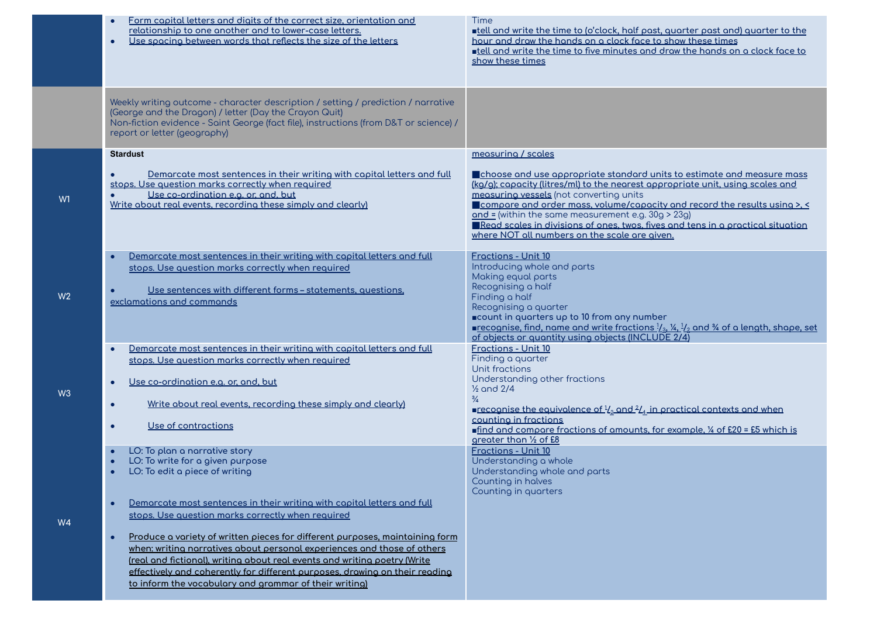|                | Form capital letters and digits of the correct size, orientation and<br>$\bullet$<br>relationship to one another and to lower-case letters.<br>Use spacing between words that reflects the size of the letters<br>$\bullet$                                                                                                                                                                | Time<br><b>Intelland write the time to (o'clock, half past, quarter past and) quarter to the</b><br>hour and draw the hands on a clock face to show these times<br><b>Intelland write the time to five minutes and draw the hands on a clock face to</b><br>show these times                                                                                                                                                                                                              |
|----------------|--------------------------------------------------------------------------------------------------------------------------------------------------------------------------------------------------------------------------------------------------------------------------------------------------------------------------------------------------------------------------------------------|-------------------------------------------------------------------------------------------------------------------------------------------------------------------------------------------------------------------------------------------------------------------------------------------------------------------------------------------------------------------------------------------------------------------------------------------------------------------------------------------|
|                | Weekly writing outcome - character description / setting / prediction / narrative<br>(George and the Dragon) / letter (Day the Crayon Quit)<br>Non-fiction evidence - Saint George (fact file), instructions (from D&T or science) /<br>report or letter (geography)                                                                                                                       |                                                                                                                                                                                                                                                                                                                                                                                                                                                                                           |
|                | <b>Stardust</b>                                                                                                                                                                                                                                                                                                                                                                            | measuring / scales                                                                                                                                                                                                                                                                                                                                                                                                                                                                        |
| W <sub>1</sub> | Demarcate most sentences in their writing with capital letters and full<br>stops. Use question marks correctly when required<br>Use co-ordination e.g. or, and, but<br>Write about real events, recording these simply and clearly)                                                                                                                                                        | Choose and use appropriate standard units to estimate and measure mass<br>(kg/g); capacity (litres/ml) to the nearest appropriate unit, using scales and<br>measuring vessels (not converting units<br><b>Compare and order mass, volume/capacity and record the results using &gt;, &lt;</b><br>$and = (within the same measurement e.g. 309 > 239)$<br>Read scales in divisions of ones, twos, fives and tens in a practical situation<br>where NOT all numbers on the scale are aiven. |
|                | Demorcate most sentences in their writing with copital letters and full                                                                                                                                                                                                                                                                                                                    | Froctions - Unit 10                                                                                                                                                                                                                                                                                                                                                                                                                                                                       |
| W <sub>2</sub> | stops. Use question marks correctly when required<br>Use sentences with different forms - statements, questions,<br>exclamations and commands                                                                                                                                                                                                                                              | Introducing whole and parts<br>Making equal parts<br>Recognising a half<br>Finding a half<br>Recognising a quarter<br>■count in quarters up to 10 from any number                                                                                                                                                                                                                                                                                                                         |
|                |                                                                                                                                                                                                                                                                                                                                                                                            | ■recognise, find, name and write fractions $\frac{1}{3}$ , $\frac{1}{4}$ , $\frac{1}{2}$ and $\frac{3}{4}$ of a length, shape, set<br>of objects or quantity using objects (INCLUDE 2/4)                                                                                                                                                                                                                                                                                                  |
|                | Demarcate most sentences in their writing with capital letters and full<br>stops. Use question marks correctly when required                                                                                                                                                                                                                                                               | Fractions - Unit 10<br>Finding a quarter<br>Unit fractions<br>Understanding other fractions                                                                                                                                                                                                                                                                                                                                                                                               |
| W <sub>3</sub> | Use co-ordination e.g. or, and, but<br>$\bullet$                                                                                                                                                                                                                                                                                                                                           | $\frac{1}{2}$ and 2/4                                                                                                                                                                                                                                                                                                                                                                                                                                                                     |
|                | Write about real events, recording these simply and clearly)<br>$\bullet$<br>Use of contractions<br>$\bullet$                                                                                                                                                                                                                                                                              | $\frac{3}{4}$<br><b>recognise the equivalence of <math>\frac{1}{2}</math> and <math>\frac{2}{4}</math> in practical contexts and when</b><br>counting in fractions<br>find and compare fractions of amounts, for example, 1/4 of £20 = £5 which is<br>areater than 1/2 of £8                                                                                                                                                                                                              |
| W4             | LO: To plan a narrative story<br>LO: To write for a given purpose<br>LO: To edit a piece of writing                                                                                                                                                                                                                                                                                        | <b>Fractions - Unit 10</b><br>Understanding a whole<br>Understanding whole and parts<br>Counting in halves                                                                                                                                                                                                                                                                                                                                                                                |
|                | Demarcate most sentences in their writing with capital letters and full<br>stops. Use question marks correctly when required                                                                                                                                                                                                                                                               | Counting in quarters                                                                                                                                                                                                                                                                                                                                                                                                                                                                      |
|                | Produce a variety of written pieces for different purposes, maintaining form<br>$\bullet$<br>when: writing narratives about personal experiences and those of others<br>(real and fictional), writing about real events and writing poetry (Write<br>effectively and coherently for different purposes, drawing on their reading<br>to inform the vocabulary and grammar of their writing) |                                                                                                                                                                                                                                                                                                                                                                                                                                                                                           |